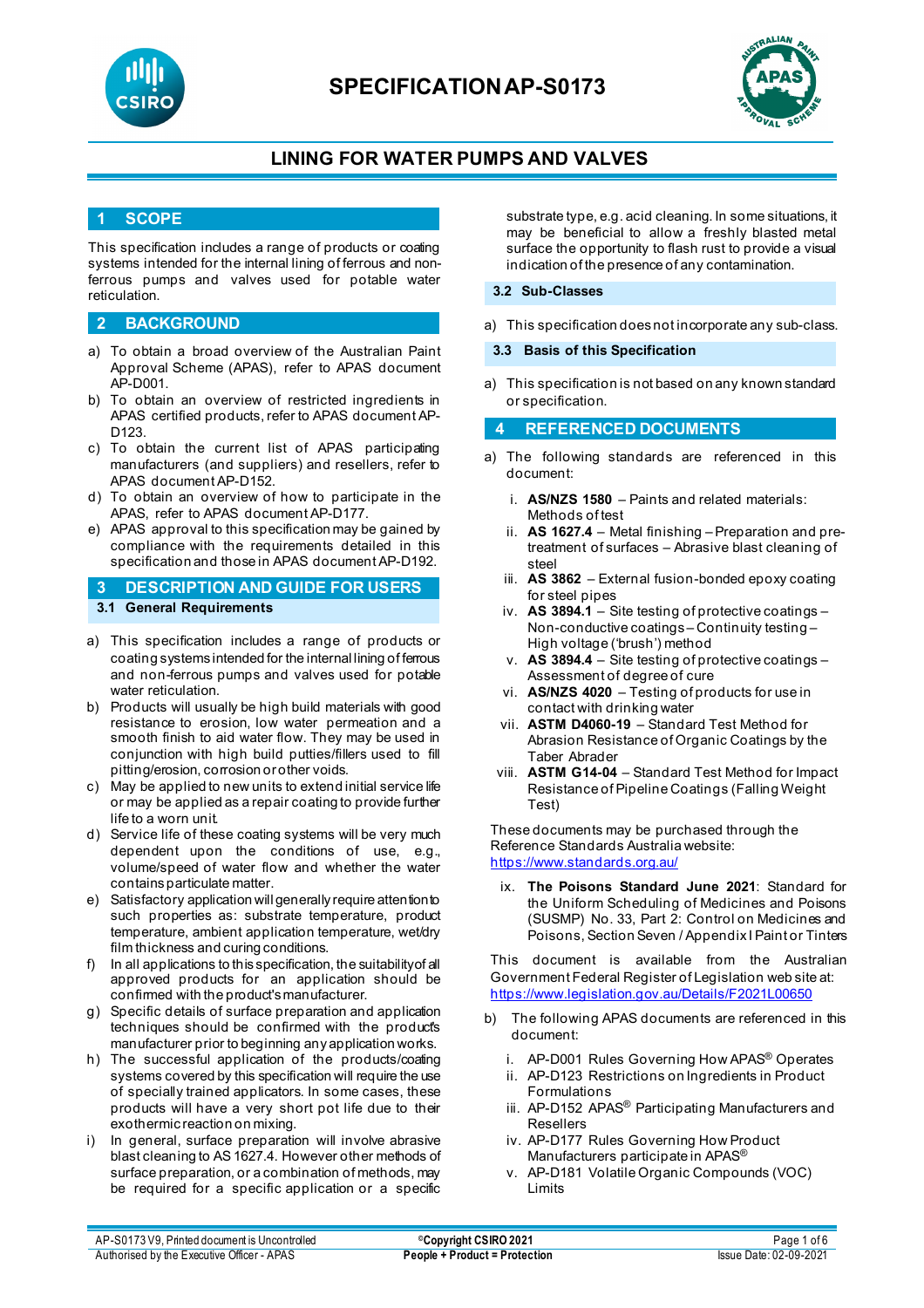



## **LINING FOR WATER PUMPS AND VALVES**

### **1 SCOPE**

This specification includes a range of products or coating systems intended for the internal lining of ferrous and nonferrous pumps and valves used for potable water reticulation.

#### **2 BACKGROUND**

- a) To obtain a broad overview of the Australian Paint Approval Scheme (APAS), refer to APAS document AP-D001.
- b) To obtain an overview of restricted ingredients in APAS certified products, refer to APAS document AP-D<sub>123</sub>
- c) To obtain the current list of APAS participating manufacturers (and suppliers) and resellers, refer to APAS document AP-D152.
- d) To obtain an overview of how to participate in the APAS, refer to APAS document AP-D177.
- e) APAS approval to this specification may be gained by compliance with the requirements detailed in this specification and those in APAS document AP-D192.

### **3 DESCRIPTION AND GUIDE FOR USERS 3.1 General Requirements**

- a) This specification includes a range of products or coating systems intended for the internal lining of ferrous and non-ferrous pumps and valves used for potable water reticulation.
- b) Products will usually be high build materials with good resistance to erosion, low water permeation and a smooth finish to aid water flow. They may be used in conjunction with high build putties/fillers used to fill pitting/erosion, corrosion or other voids.
- c) May be applied to new units to extend initial service life or may be applied as a repair coating to provide further life to a worn unit.
- d) Service life of these coating systems will be very much dependent upon the conditions of use, e.g., volume/speed of water flow and whether the water contains particulate matter.
- e) Satisfactory application will generally require attention to such properties as: substrate temperature, product temperature, ambient application temperature, wet/dry film thickness and curing conditions.
- f) In all applications to this specification, the suitability of all approved products for an application should be confirmed with the product's manufacturer.
- g) Specific details of surface preparation and application techniques should be confirmed with the product's manufacturer prior to beginning any application works.
- h) The successful application of the products/coating systems covered by this specification will require the use of specially trained applicators. In some cases, these products will have a very short pot life due to their exothermic reaction on mixing.
- i) In general, surface preparation will involve abrasive blast cleaning to AS 1627.4. However other methods of surface preparation, or a combination of methods, may be required for a specific application or a specific

substrate type, e.g. acid cleaning. In some situations, it may be beneficial to allow a freshly blasted metal surface the opportunity to flash rust to provide a visual indication of the presence of any contamination.

#### **3.2 Sub-Classes**

a) This specification does not incorporate any sub-class.

#### **3.3 Basis of this Specification**

a) This specification is not based on any known standard or specification.

### **4 REFERENCED DOCUMENTS**

- a) The following standards are referenced in this document:
	- i. **AS/NZS 1580** Paints and related materials: Methods of test
	- ii. **AS 1627.4** Metal finishing Preparation and pretreatment of surfaces – Abrasive blast cleaning of steel
	- iii. **AS 3862** External fusion-bonded epoxy coating for steel pipes
	- iv. **AS 3894.1** Site testing of protective coatings Non-conductive coatings – Continuity testing – High voltage ('brush') method
	- v. **AS 3894.4** Site testing of protective coatings Assessment of degree of cure
	- vi. **AS/NZS 4020**  Testing of products for use in contact with drinking water
	- vii. **ASTM D4060-19** Standard Test Method for Abrasion Resistance of Organic Coatings by the Taber Abrader
	- viii. **ASTM G14-04** Standard Test Method for Impact Resistance of Pipeline Coatings (Falling Weight Test)

These documents may be purchased through the Reference Standards Australia website: <https://www.standards.org.au/>

ix. **The Poisons Standard June 2021**: Standard for the Uniform Scheduling of Medicines and Poisons (SUSMP) No. 33, Part 2: Control on Medicines and Poisons, Section Seven / Appendix I Paint or Tinters

This document is available from the Australian Government Federal Register of Legislation web site at: <https://www.legislation.gov.au/Details/F2021L00650>

- b) The following APAS documents are referenced in this document:
	- i. AP-D001 Rules Governing How APAS<sup>®</sup> Operates
	- ii. AP-D123 Restrictions on Ingredients in Product Formulations
	- iii. AP-D152 APAS<sup>®</sup> Participating Manufacturers and Resellers
	- iv. AP-D177 Rules Governing How Product Manufacturers participate in APAS®
	- v. AP-D181 Volatile Organic Compounds (VOC) Limits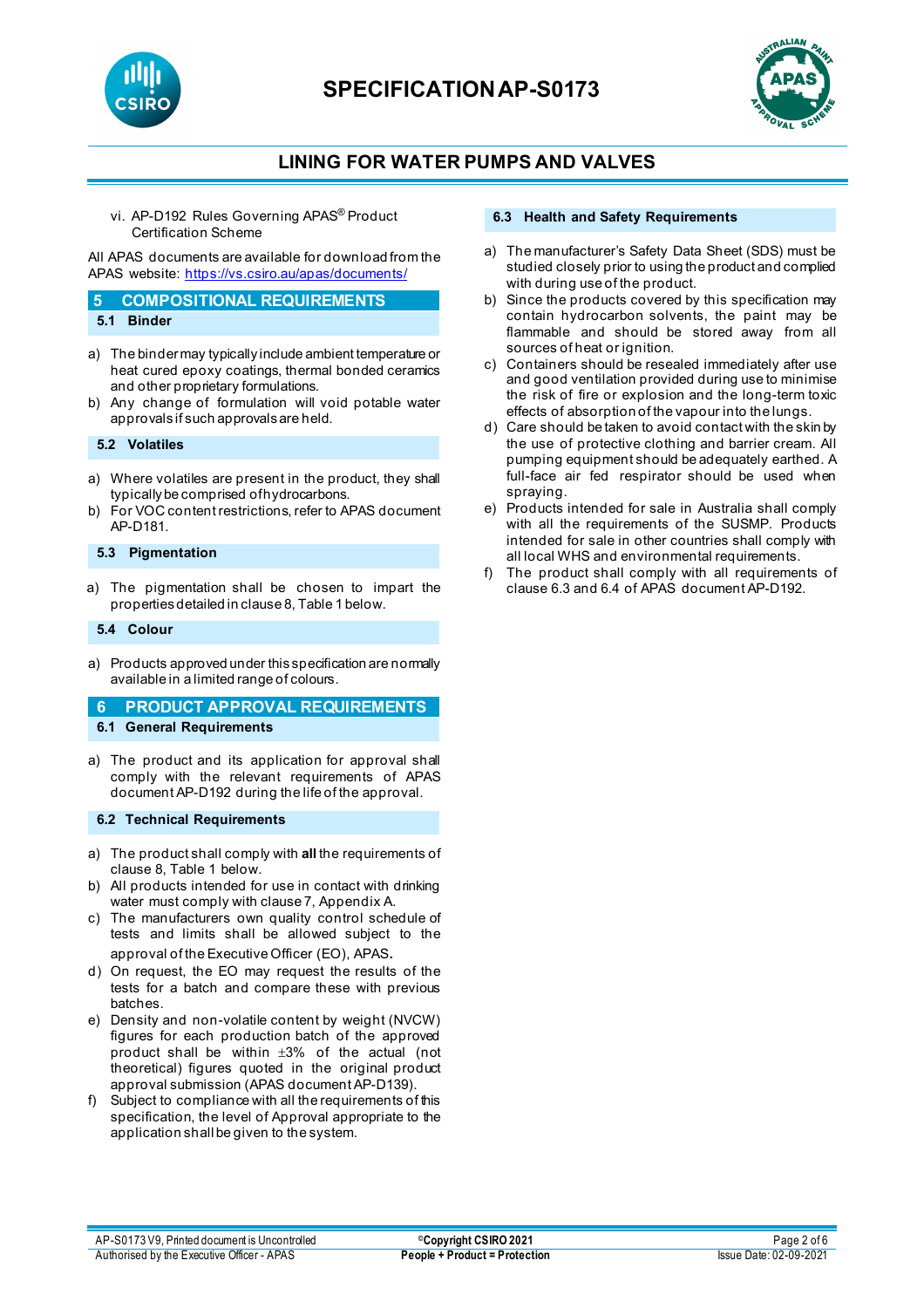



# **LINING FOR WATER PUMPS AND VALVES**

vi. AP-D192 Rules Governing APAS® Product Certification Scheme

All APAS documents are available for download from the APAS website: <https://vs.csiro.au/apas/documents/>

#### **5 COMPOSITIONAL REQUIREMENTS 5.1 Binder**

- 
- a) The binder may typically include ambient temperature or heat cured epoxy coatings, thermal bonded ceramics and other proprietary formulations.
- b) Any change of formulation will void potable water approvals if such approvals are held.

### **5.2 Volatiles**

- a) Where volatiles are present in the product, they shall typically be comprised of hydrocarbons.
- b) For VOC content restrictions, refer to APAS document AP-D181.

### **5.3 Pigmentation**

a) The pigmentation shall be chosen to impart the properties detailed in clause 8, Table 1 below.

#### **5.4 Colour**

a) Products approved under this specification are normally available in a limited range of colours.

### **6 PRODUCT APPROVAL REQUIREMENTS**

- **6.1 General Requirements**
- a) The product and its application for approval shall comply with the relevant requirements of APAS document AP-D192 during the life of the approval.

#### **6.2 Technical Requirements**

- a) The product shall comply with **all** the requirements of clause 8, Table 1 below.
- b) All products intended for use in contact with drinking water must comply with clause 7, Appendix A.
- c) The manufacturers own quality control schedule of tests and limits shall be allowed subject to the approval of the Executive Officer (EO), APAS.
- d) On request, the EO may request the results of the tests for a batch and compare these with previous batches.
- e) Density and non-volatile content by weight (NVCW) figures for each production batch of the approved product shall be within ±3% of the actual (not theoretical) figures quoted in the original product approval submission (APAS document AP-D139).
- f) Subject to compliance with all the requirements of this specification, the level of Approval appropriate to the application shall be given to the system.

#### **6.3 Health and Safety Requirements**

- a) The manufacturer's Safety Data Sheet (SDS) must be studied closely prior to using the product and complied with during use of the product.
- b) Since the products covered by this specification may contain hydrocarbon solvents, the paint may be flammable and should be stored away from all sources of heat or ignition.
- c) Containers should be resealed immediately after use and good ventilation provided during use to minimise the risk of fire or explosion and the long-term toxic effects of absorption of the vapour into the lungs.
- d) Care should be taken to avoid contact with the skin by the use of protective clothing and barrier cream. All pumping equipment should be adequately earthed. A full-face air fed respirator should be used when spraying.
- e) Products intended for sale in Australia shall comply with all the requirements of the SUSMP. Products intended for sale in other countries shall comply with all local WHS and environmental requirements.
- f) The product shall comply with all requirements of clause 6.3 and 6.4 of APAS document AP-D192.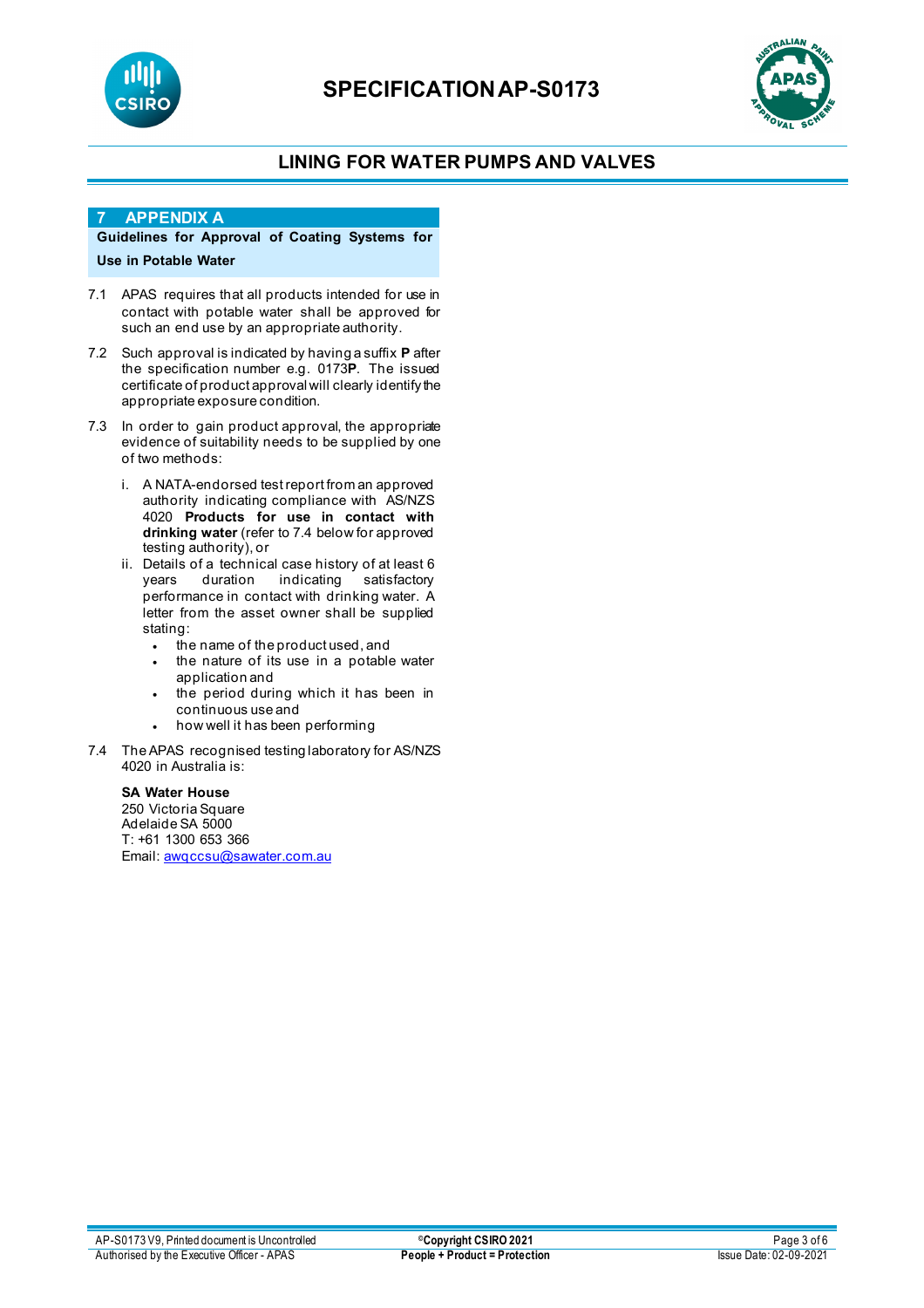



# **LINING FOR WATER PUMPS AND VALVES**

#### **7 APPENDIX A**

### **Guidelines for Approval of Coating Systems for Use in Potable Water**

- 7.1 APAS requires that all products intended for use in contact with potable water shall be approved for such an end use by an appropriate authority.
- 7.2 Such approval is indicated by having a suffix **P** after the specification number e.g. 0173**P**. The issued certificate of product approval will clearly identify the appropriate exposure condition.
- 7.3 In order to gain product approval, the appropriate evidence of suitability needs to be supplied by one of two methods:
	- i. A NATA-endorsed test report from an approved authority indicating compliance with AS/NZS 4020 **Products for use in contact with drinking water** (refer to 7.4 below for approved testing authority), or
	- ii. Details of a technical case history of at least 6 satisfactory performance in contact with drinking water. A letter from the asset owner shall be supplied stating:
		- the name of the product used, and
		- the nature of its use in a potable water application and
		- the period during which it has been in continuous use and
		- how well it has been performing
- 7.4 The APAS recognised testing laboratory for AS/NZS 4020 in Australia is:

#### **SA Water House**

250 Victoria Square Adelaide SA 5000 T: +61 1300 653 366 Email: [awqccsu@sawater.com.au](mailto:awqccsu@sawater.com.au)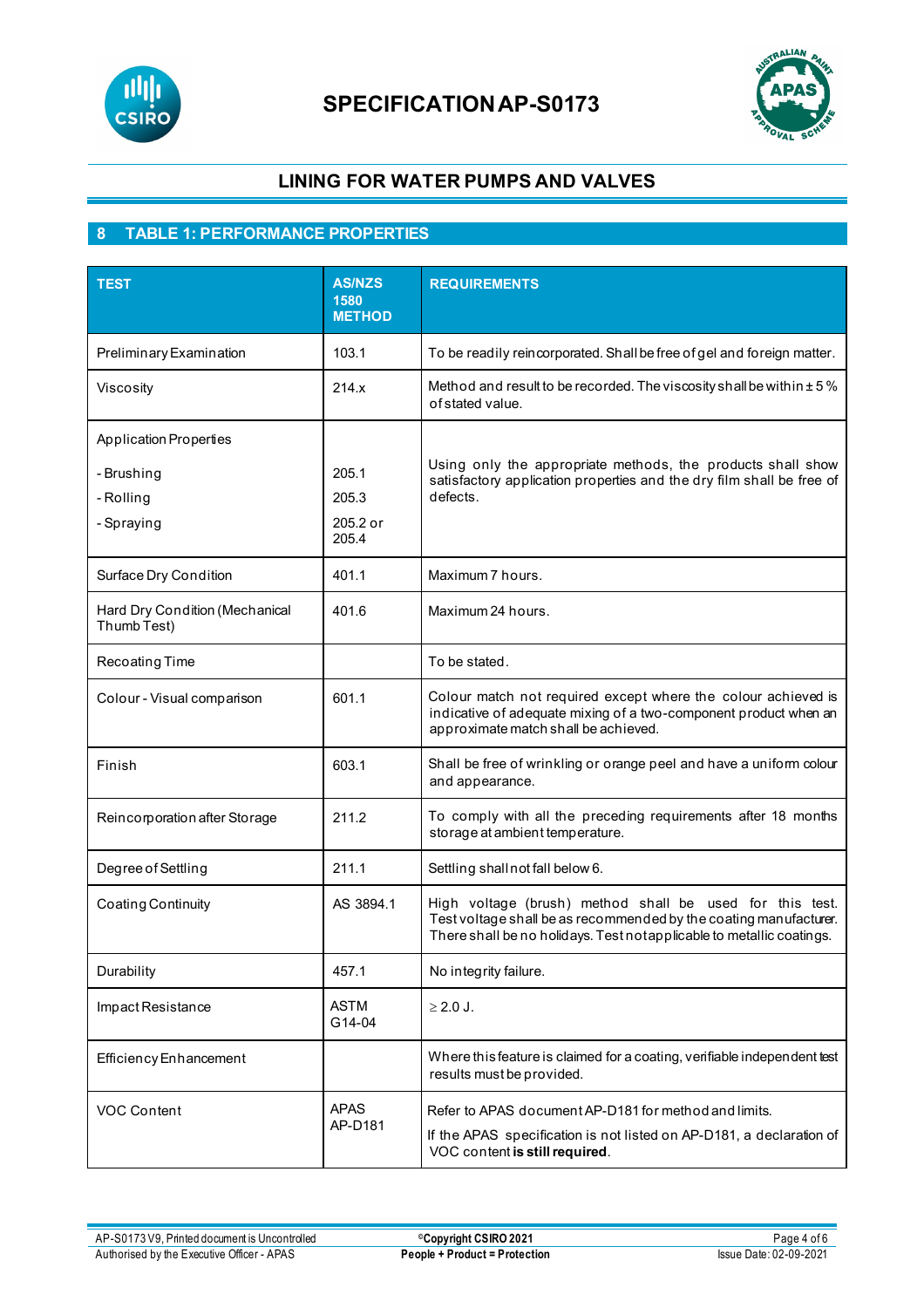



## **LINING FOR WATER PUMPS AND VALVES**

# **8 TABLE 1: PERFORMANCE PROPERTIES**

| <b>TEST</b>                                   | <b>AS/NZS</b><br>1580<br><b>METHOD</b> | <b>REQUIREMENTS</b>                                                                                                                                                                                   |
|-----------------------------------------------|----------------------------------------|-------------------------------------------------------------------------------------------------------------------------------------------------------------------------------------------------------|
| Preliminary Examination                       | 103.1                                  | To be readily reincorporated. Shall be free of gel and foreign matter.                                                                                                                                |
| Viscosity                                     | 214.x                                  | Method and result to be recorded. The viscosity shall be within $\pm$ 5%<br>of stated value.                                                                                                          |
| <b>Application Properties</b>                 |                                        |                                                                                                                                                                                                       |
| - Brushing<br>- Rolling<br>- Spraying         | 205.1<br>205.3<br>205.2 or<br>205.4    | Using only the appropriate methods, the products shall show<br>satisfactory application properties and the dry film shall be free of<br>defects.                                                      |
| Surface Dry Condition                         | 401.1                                  | Maximum 7 hours.                                                                                                                                                                                      |
| Hard Dry Condition (Mechanical<br>Thumb Test) | 401.6                                  | Maximum 24 hours.                                                                                                                                                                                     |
| Recoating Time                                |                                        | To be stated.                                                                                                                                                                                         |
| Colour - Visual comparison                    | 601.1                                  | Colour match not required except where the colour achieved is<br>indicative of adequate mixing of a two-component product when an<br>approximate match shall be achieved.                             |
| Finish                                        | 603.1                                  | Shall be free of wrinkling or orange peel and have a uniform colour<br>and appearance.                                                                                                                |
| Reincorporation after Storage                 | 211.2                                  | To comply with all the preceding requirements after 18 months<br>storage at ambient temperature.                                                                                                      |
| Degree of Settling                            | 211.1                                  | Settling shall not fall below 6.                                                                                                                                                                      |
| Coating Continuity                            | AS 3894.1                              | High voltage (brush) method shall be used for this test.<br>Test voltage shall be as recommended by the coating manufacturer.<br>There shall be no holidays. Test notapplicable to metallic coatings. |
| Durability                                    | 457.1                                  | No integrity failure.                                                                                                                                                                                 |
| Impact Resistance                             | <b>ASTM</b><br>G14-04                  | $\geq$ 2.0 J.                                                                                                                                                                                         |
| <b>Efficiency Enhancement</b>                 |                                        | Where this feature is claimed for a coating, verifiable independent test<br>results must be provided.                                                                                                 |
| <b>VOC Content</b>                            | <b>APAS</b><br>AP-D181                 | Refer to APAS document AP-D181 for method and limits.<br>If the APAS specification is not listed on AP-D181, a declaration of<br>VOC content is still required.                                       |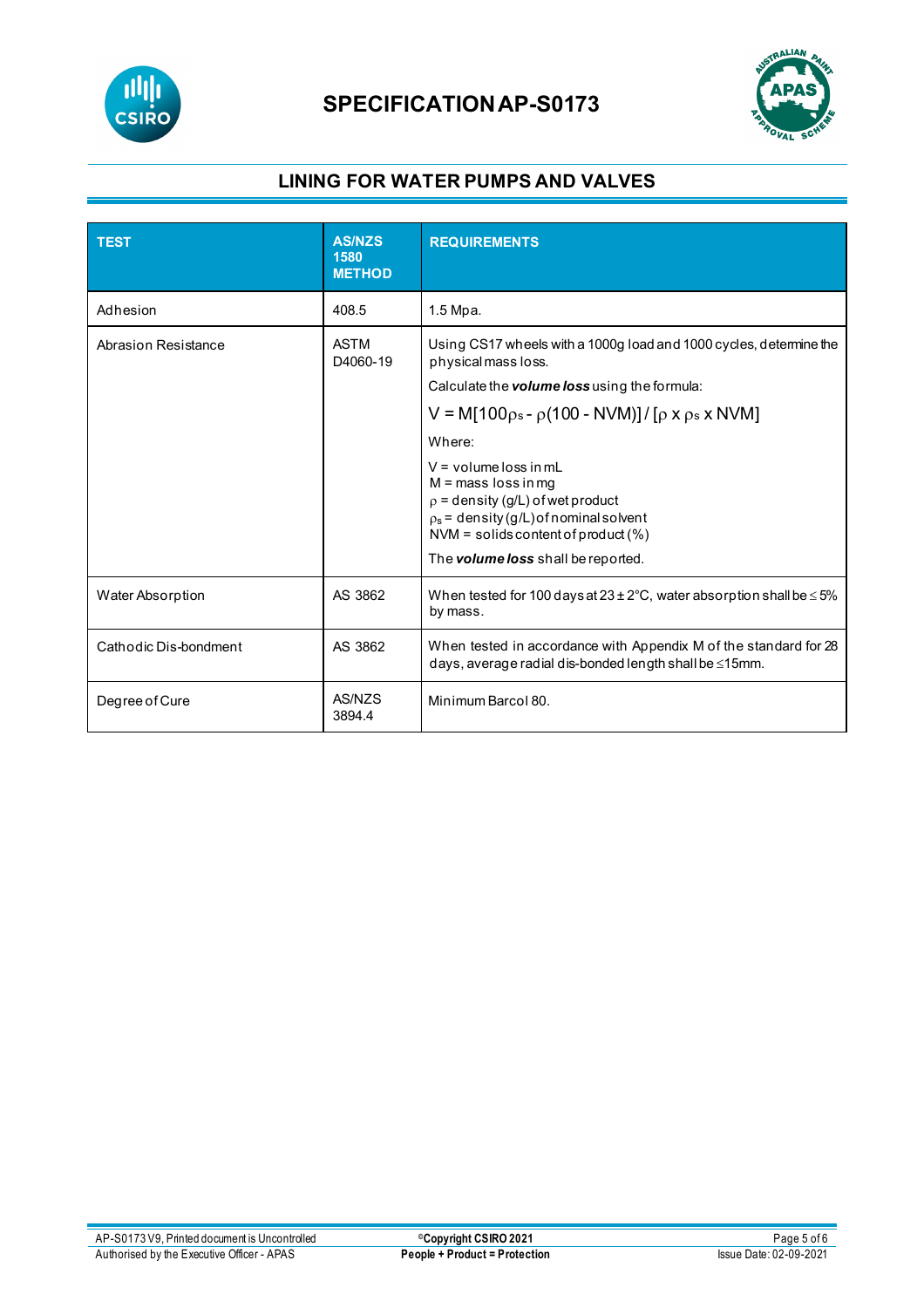



# **LINING FOR WATER PUMPS AND VALVES**

| <b>TEST</b>             | <b>AS/NZS</b><br>1580<br><b>METHOD</b> | <b>REQUIREMENTS</b>                                                                                                                                                                                                                                                                                                                                                                                             |
|-------------------------|----------------------------------------|-----------------------------------------------------------------------------------------------------------------------------------------------------------------------------------------------------------------------------------------------------------------------------------------------------------------------------------------------------------------------------------------------------------------|
| Adhesion                | 408.5                                  | 1.5 Mpa.                                                                                                                                                                                                                                                                                                                                                                                                        |
| Abrasion Resistance     | <b>ASTM</b><br>D4060-19                | Using CS17 wheels with a 1000g load and 1000 cycles, determine the<br>physical mass loss.<br>Calculate the <b>volume loss</b> using the formula:<br>$V = M[100 \rho_s - \rho(100 - NVM)]/[p \times p_s \times NVM]$<br>Where:<br>$V =$ volume loss in mL<br>$M =$ mass loss in mg<br>$p =$ density (g/L) of wet product<br>$p_s$ = density (g/L) of nominal solvent<br>$NVM =$ solids content of product $(\%)$ |
|                         |                                        | The volume loss shall be reported.                                                                                                                                                                                                                                                                                                                                                                              |
| <b>Water Absorption</b> | AS 3862                                | When tested for 100 days at $23 \pm 2^{\circ}$ C, water absorption shall be $\leq 5\%$<br>by mass.                                                                                                                                                                                                                                                                                                              |
| Cathodic Dis-bondment   | AS 3862                                | When tested in accordance with Appendix M of the standard for 28<br>days, average radial dis-bonded length shall be ≤15mm.                                                                                                                                                                                                                                                                                      |
| Degree of Cure          | AS/NZS<br>3894.4                       | Minimum Barcol 80.                                                                                                                                                                                                                                                                                                                                                                                              |